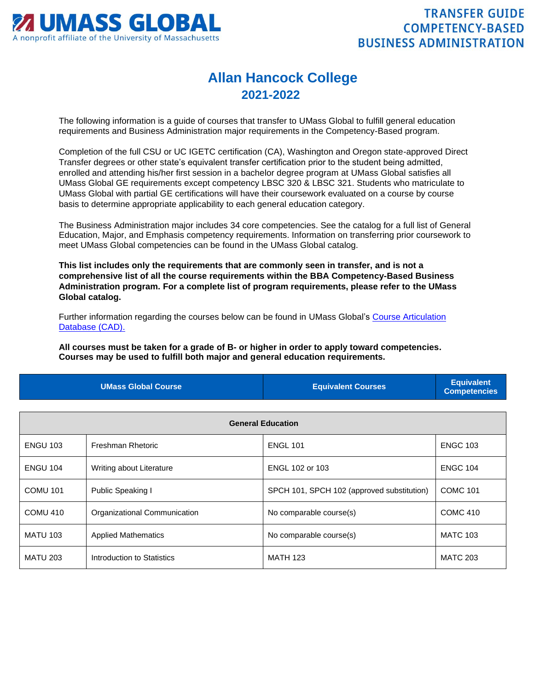

## **Allan Hancock College 2021-2022**

The following information is a guide of courses that transfer to UMass Global to fulfill general education requirements and Business Administration major requirements in the Competency-Based program.

Completion of the full CSU or UC IGETC certification (CA), Washington and Oregon state-approved Direct Transfer degrees or other state's equivalent transfer certification prior to the student being admitted, enrolled and attending his/her first session in a bachelor degree program at UMass Global satisfies all UMass Global GE requirements except competency LBSC 320 & LBSC 321. Students who matriculate to UMass Global with partial GE certifications will have their coursework evaluated on a course by course basis to determine appropriate applicability to each general education category.

The Business Administration major includes 34 core competencies. See the catalog for a full list of General Education, Major, and Emphasis competency requirements. Information on transferring prior coursework to meet UMass Global competencies can be found in the UMass Global catalog.

**This list includes only the requirements that are commonly seen in transfer, and is not a comprehensive list of all the course requirements within the BBA Competency-Based Business Administration program. For a complete list of program requirements, please refer to the UMass Global catalog.**

Further information regarding the courses below can be found in UMass Global's [Course Articulation](http://services.umassglobal.edu/studentservices/TransferCredit/)  [Database \(CAD\).](http://services.umassglobal.edu/studentservices/TransferCredit/) 

**All courses must be taken for a grade of B- or higher in order to apply toward competencies. Courses may be used to fulfill both major and general education requirements.** 

| <b>UMass Global Course</b> | <b>Equivalent Courses</b> | <b>Equivalent</b><br>Competencies |
|----------------------------|---------------------------|-----------------------------------|
|                            |                           |                                   |

| <b>General Education</b> |                              |                                            |                 |
|--------------------------|------------------------------|--------------------------------------------|-----------------|
| <b>ENGU 103</b>          | Freshman Rhetoric            | <b>ENGL 101</b>                            | <b>ENGC 103</b> |
| <b>ENGU 104</b>          | Writing about Literature     | ENGL 102 or 103                            | <b>ENGC 104</b> |
| <b>COMU 101</b>          | Public Speaking I            | SPCH 101, SPCH 102 (approved substitution) | <b>COMC 101</b> |
| COMU 410                 | Organizational Communication | No comparable course(s)                    | <b>COMC 410</b> |
| <b>MATU 103</b>          | <b>Applied Mathematics</b>   | No comparable course(s)                    | <b>MATC 103</b> |
| <b>MATU 203</b>          | Introduction to Statistics   | <b>MATH 123</b>                            | <b>MATC 203</b> |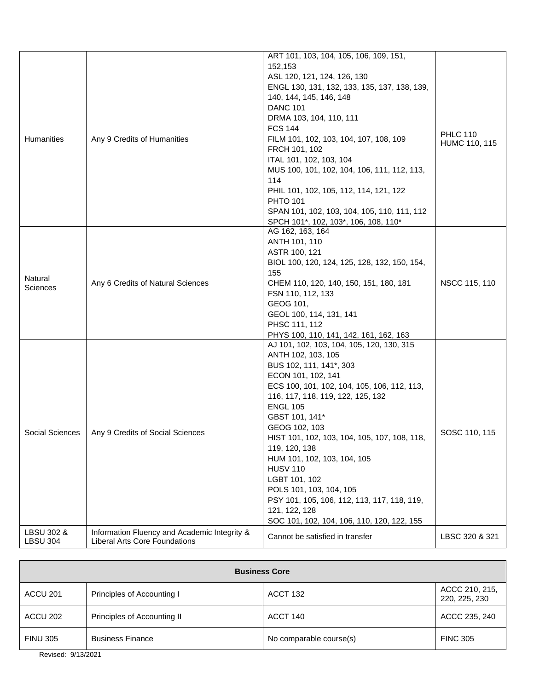|                   |                                              | ART 101, 103, 104, 105, 106, 109, 151,       |                                  |
|-------------------|----------------------------------------------|----------------------------------------------|----------------------------------|
|                   |                                              | 152,153                                      |                                  |
|                   |                                              | ASL 120, 121, 124, 126, 130                  |                                  |
|                   |                                              | ENGL 130, 131, 132, 133, 135, 137, 138, 139, |                                  |
|                   |                                              | 140, 144, 145, 146, 148                      |                                  |
|                   |                                              | <b>DANC 101</b>                              | <b>PHLC 110</b><br>HUMC 110, 115 |
|                   |                                              | DRMA 103, 104, 110, 111                      |                                  |
|                   | Any 9 Credits of Humanities                  | <b>FCS 144</b>                               |                                  |
| <b>Humanities</b> |                                              | FILM 101, 102, 103, 104, 107, 108, 109       |                                  |
|                   |                                              |                                              |                                  |
|                   |                                              | FRCH 101, 102                                |                                  |
|                   |                                              | ITAL 101, 102, 103, 104                      |                                  |
|                   |                                              | MUS 100, 101, 102, 104, 106, 111, 112, 113,  |                                  |
|                   |                                              | 114                                          |                                  |
|                   |                                              | PHIL 101, 102, 105, 112, 114, 121, 122       |                                  |
|                   |                                              | <b>PHTO 101</b>                              |                                  |
|                   |                                              | SPAN 101, 102, 103, 104, 105, 110, 111, 112  |                                  |
|                   |                                              | SPCH 101*, 102, 103*, 106, 108, 110*         |                                  |
|                   |                                              | AG 162, 163, 164                             |                                  |
|                   |                                              | ANTH 101, 110                                |                                  |
|                   |                                              | ASTR 100, 121                                |                                  |
|                   | Any 6 Credits of Natural Sciences            | BIOL 100, 120, 124, 125, 128, 132, 150, 154, |                                  |
|                   |                                              |                                              |                                  |
| Natural           |                                              | 155                                          | NSCC 115, 110                    |
| Sciences          |                                              | CHEM 110, 120, 140, 150, 151, 180, 181       |                                  |
|                   |                                              | FSN 110, 112, 133                            |                                  |
|                   |                                              | GEOG 101,                                    |                                  |
|                   |                                              | GEOL 100, 114, 131, 141                      |                                  |
|                   |                                              | PHSC 111, 112                                |                                  |
|                   |                                              | PHYS 100, 110, 141, 142, 161, 162, 163       |                                  |
|                   |                                              | AJ 101, 102, 103, 104, 105, 120, 130, 315    |                                  |
|                   |                                              | ANTH 102, 103, 105                           |                                  |
|                   |                                              | BUS 102, 111, 141*, 303                      |                                  |
|                   |                                              | ECON 101, 102, 141                           |                                  |
|                   |                                              | ECS 100, 101, 102, 104, 105, 106, 112, 113,  |                                  |
|                   |                                              | 116, 117, 118, 119, 122, 125, 132            |                                  |
|                   |                                              |                                              |                                  |
|                   |                                              | <b>ENGL 105</b>                              |                                  |
|                   |                                              | GBST 101, 141*                               |                                  |
| Social Sciences   | Any 9 Credits of Social Sciences             | GEOG 102, 103                                | SOSC 110, 115                    |
|                   |                                              | HIST 101, 102, 103, 104, 105, 107, 108, 118, |                                  |
|                   |                                              | 119, 120, 138                                |                                  |
|                   |                                              | HUM 101, 102, 103, 104, 105                  |                                  |
|                   |                                              | <b>HUSV 110</b>                              |                                  |
|                   |                                              | LGBT 101, 102                                |                                  |
|                   |                                              | POLS 101, 103, 104, 105                      |                                  |
|                   |                                              | PSY 101, 105, 106, 112, 113, 117, 118, 119,  |                                  |
|                   |                                              | 121, 122, 128                                |                                  |
|                   |                                              |                                              |                                  |
|                   |                                              | SOC 101, 102, 104, 106, 110, 120, 122, 155   |                                  |
| LBSU 302 &        | Information Fluency and Academic Integrity & | Cannot be satisfied in transfer              | LBSC 320 & 321                   |
| <b>LBSU 304</b>   | <b>Liberal Arts Core Foundations</b>         |                                              |                                  |

| <b>Business Core</b> |                             |                         |                                 |
|----------------------|-----------------------------|-------------------------|---------------------------------|
| ACCU 201             | Principles of Accounting I  | ACCT 132                | ACCC 210, 215,<br>220, 225, 230 |
| ACCU 202             | Principles of Accounting II | ACCT 140                | ACCC 235, 240                   |
| <b>FINU 305</b>      | <b>Business Finance</b>     | No comparable course(s) | <b>FINC 305</b>                 |